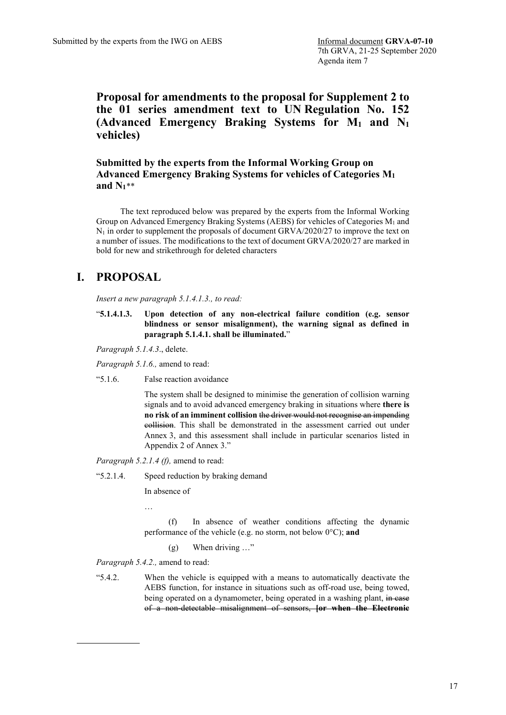**Proposal for amendments to the proposal for Supplement 2 to the 01 series amendment text to UN Regulation No. 152 (Advanced Emergency Braking Systems for M1 and N1 vehicles)**

**Submitted by the experts from the Informal Working Group on Advanced Emergency Braking Systems for vehicles of Categories M1 and N1**[\\*\\*](#page-0-0)

The text reproduced below was prepared by the experts from the Informal Working Group on Advanced Emergency Braking Systems (AEBS) for vehicles of Categories  $M_1$  and  $N_1$  in order to supplement the proposals of document GRVA/2020/27 to improve the text on a number of issues. The modifications to the text of document GRVA/2020/27 are marked in bold for new and strikethrough for deleted characters

# **I. PROPOSAL**

*Insert a new paragraph 5.1.4.1.3., to read:*

"**5.1.4.1.3. Upon detection of any non-electrical failure condition (e.g. sensor blindness or sensor misalignment), the warning signal as defined in paragraph 5.1.4.1. shall be illuminated.**"

*Paragraph 5.1.4.3*., delete.

*Paragraph 5.1.6.,* amend to read:

"5.1.6. False reaction avoidance

The system shall be designed to minimise the generation of collision warning signals and to avoid advanced emergency braking in situations where **there is no risk of an imminent collision** the driver would not recognise an impending collision. This shall be demonstrated in the assessment carried out under Annex 3, and this assessment shall include in particular scenarios listed in Appendix 2 of Annex 3."

*Paragraph 5.2.1.4 (f),* amend to read:

"5.2.1.4. Speed reduction by braking demand

In absence of

…

(f) In absence of weather conditions affecting the dynamic performance of the vehicle (e.g. no storm, not below 0°C); **and**

(g) When driving …"

*Paragraph 5.4.2.,* amend to read:

<span id="page-0-0"></span>"5.4.2. When the vehicle is equipped with a means to automatically deactivate the AEBS function, for instance in situations such as off-road use, being towed, being operated on a dynamometer, being operated in a washing plant, in case of a non-detectable misalignment of sensors, **[or when the Electronic**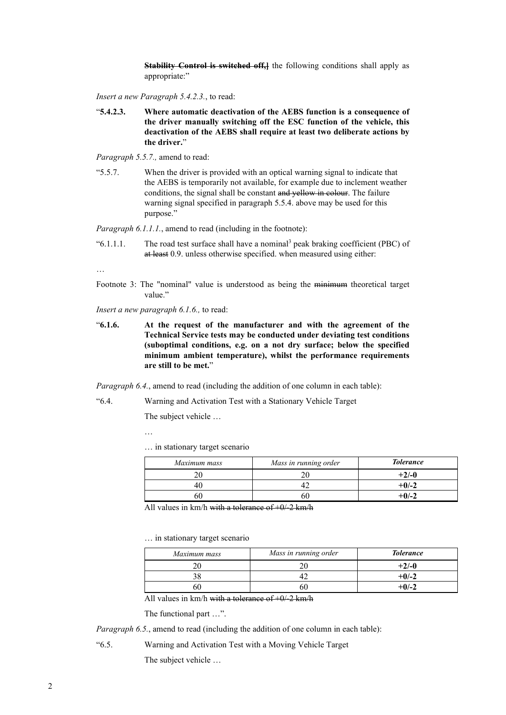**Stability Control is switched off,** the following conditions shall apply as appropriate:"

*Insert a new Paragraph 5.4.2.3.*, to read:

"**5.4.2.3. Where automatic deactivation of the AEBS function is a consequence of the driver manually switching off the ESC function of the vehicle, this deactivation of the AEBS shall require at least two deliberate actions by the driver.**"

*Paragraph 5.5.7.,* amend to read:

"5.5.7. When the driver is provided with an optical warning signal to indicate that the AEBS is temporarily not available, for example due to inclement weather conditions, the signal shall be constant and yellow in colour. The failure warning signal specified in paragraph 5.5.4. above may be used for this purpose."

*Paragraph 6.1.1.1.*, amend to read (including in the footnote):

" $6.1.1.1.$  The road test surface shall have a nominal<sup>3</sup> peak braking coefficient (PBC) of at least 0.9. unless otherwise specified. when measured using either:

…

Footnote 3: The "nominal" value is understood as being the minimum theoretical target value."

*Insert a new paragraph 6.1.6.,* to read:

"**6.1.6. At the request of the manufacturer and with the agreement of the Technical Service tests may be conducted under deviating test conditions (suboptimal conditions, e.g. on a not dry surface; below the specified minimum ambient temperature), whilst the performance requirements are still to be met.**"

*Paragraph 6.4.*, amend to read (including the addition of one column in each table):

"6.4. Warning and Activation Test with a Stationary Vehicle Target

The subject vehicle …

…

… in stationary target scenario

| Maximum mass | Mass in running order | <b>Tolerance</b> |
|--------------|-----------------------|------------------|
|              |                       | $+2/-0$          |
| 40.          |                       | $+0/-2$          |
| ЭU           | bU.                   | $+0/-2$          |

All values in  $km/h$  with a tolerance of  $+0/2$  km/h

… in stationary target scenario

| Maximum mass | Mass in running order | <b>Tolerance</b> |
|--------------|-----------------------|------------------|
|              |                       | $+2/-0$          |
|              |                       | $+0/-2$          |
|              |                       | $+0/-2$          |

All values in km/h with a tolerance of  $+0/2$  km/h

The functional part …".

*Paragraph 6.5.*, amend to read (including the addition of one column in each table):

"6.5. Warning and Activation Test with a Moving Vehicle Target

The subject vehicle …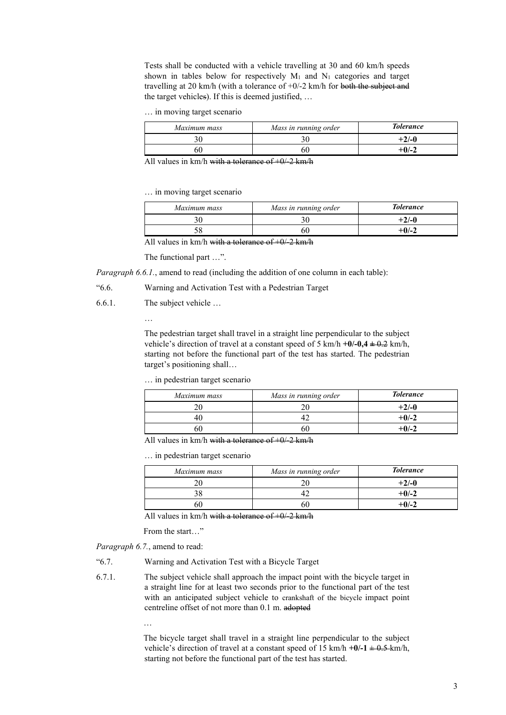Tests shall be conducted with a vehicle travelling at 30 and 60 km/h speeds shown in tables below for respectively  $M_1$  and  $N_1$  categories and target travelling at 20 km/h (with a tolerance of +0/-2 km/h for both the subject and the target vehicles). If this is deemed justified, …

… in moving target scenario

| Maximum mass | Mass in running order | <b>Tolerance</b> |
|--------------|-----------------------|------------------|
|              |                       | $+2/-0$          |
|              | 60                    | $+0/-2$          |

All values in  $km/h$  with a tolerance of  $+0/2$  km/h

… in moving target scenario

| Maximum mass | Mass in running order | <b>Tolerance</b> |
|--------------|-----------------------|------------------|
|              |                       | $+2/-0$          |
|              |                       | +0/-2            |

All values in km/h with a tolerance of  $+0/2$  km/h

The functional part …".

*Paragraph 6.6.1.*, amend to read (including the addition of one column in each table):

"6.6. Warning and Activation Test with a Pedestrian Target

6.6.1. The subject vehicle …

…

The pedestrian target shall travel in a straight line perpendicular to the subject vehicle's direction of travel at a constant speed of 5 km/h  $+0$ /-0,4  $\pm$  0.2 km/h, starting not before the functional part of the test has started. The pedestrian target's positioning shall…

… in pedestrian target scenario

| Maximum mass | Mass in running order | <b>Tolerance</b> |
|--------------|-----------------------|------------------|
|              |                       | $+2/-0$          |
|              |                       | $+0/-2$          |
| hľ           | эt                    | $+0/-2$          |

All values in km/h with a tolerance of  $+0/2$  km/h

… in pedestrian target scenario

| Maximum mass | Mass in running order | <b>Tolerance</b> |
|--------------|-----------------------|------------------|
|              |                       | $+2/-0$          |
|              |                       | $+0/-2$          |
|              |                       | $+0/-2$          |

All values in km/h with a tolerance of  $+0/2$  km/h

From the start…"

*Paragraph 6.7.*, amend to read:

"6.7. Warning and Activation Test with a Bicycle Target

6.7.1. The subject vehicle shall approach the impact point with the bicycle target in a straight line for at least two seconds prior to the functional part of the test with an anticipated subject vehicle to crankshaft of the bicycle impact point centreline offset of not more than 0.1 m. adopted

…

The bicycle target shall travel in a straight line perpendicular to the subject vehicle's direction of travel at a constant speed of 15 km/h  $+0/-1 \pm 0.5$  km/h, starting not before the functional part of the test has started.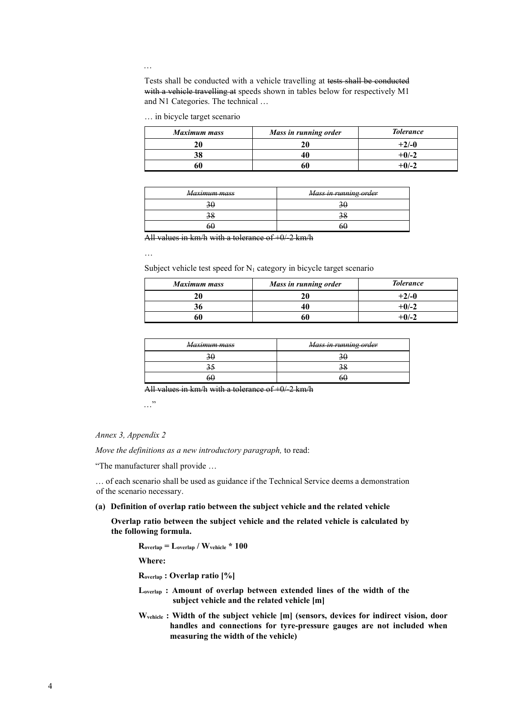…

Tests shall be conducted with a vehicle travelling at tests shall be conducted with a vehicle travelling at speeds shown in tables below for respectively M1 and N1 Categories. The technical …

… in bicycle target scenario

| <b>Maximum mass</b> | Mass in running order | <b>Tolerance</b> |
|---------------------|-----------------------|------------------|
| ንበ                  | 20                    | $+2/-0$          |
|                     |                       | $+0/-2$          |
|                     | 60                    | $+0/-2$          |

| Maximum mass | Mass in running order |
|--------------|-----------------------|
|              |                       |
|              |                       |
|              |                       |

All values in  $km/h$  with a tolerance of  $+0/2$  km/h

…

Subject vehicle test speed for  $N_1$  category in bicycle target scenario

| <b>Maximum mass</b> | Mass in running order | <b>Tolerance</b> |
|---------------------|-----------------------|------------------|
| 20                  |                       | $+2/-0$          |
|                     |                       | $+0/-2$          |
|                     |                       | $+0/-2$          |

| Maximum mass | Mass in running order |
|--------------|-----------------------|
|              |                       |
|              |                       |
| 6ŧ.          |                       |

All values in km/h with a tolerance of  $+0/2$  km/h

…"

#### *Annex 3, Appendix 2*

*Move the definitions as a new introductory paragraph,* to read:

"The manufacturer shall provide …

… of each scenario shall be used as guidance if the Technical Service deems a demonstration of the scenario necessary.

**(a) Definition of overlap ratio between the subject vehicle and the related vehicle**

**Overlap ratio between the subject vehicle and the related vehicle is calculated by the following formula.**

**Roverlap = Loverlap / Wvehicle \* 100** 

**Where:**

**Roverlap : Overlap ratio [%]**

- **Loverlap : Amount of overlap between extended lines of the width of the subject vehicle and the related vehicle [m]**
- **Wvehicle : Width of the subject vehicle [m] (sensors, devices for indirect vision, door handles and connections for tyre‑pressure gauges are not included when measuring the width of the vehicle)**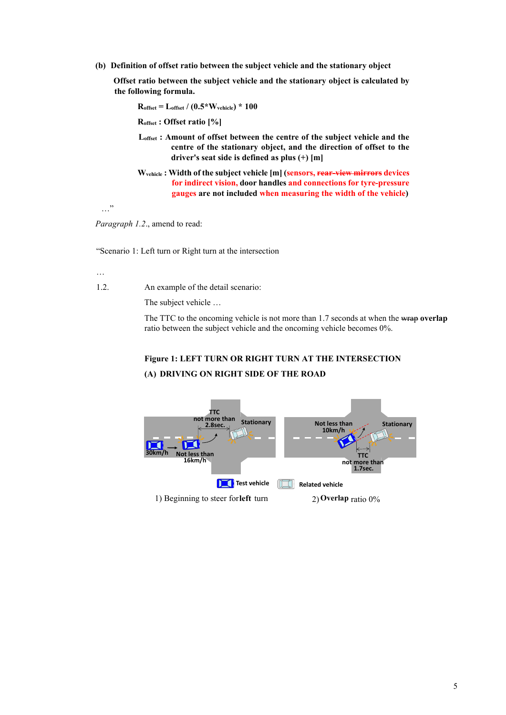**(b) Definition of offset ratio between the subject vehicle and the stationary object**

**Offset ratio between the subject vehicle and the stationary object is calculated by the following formula.**

**Roffset = Loffset / (0.5\*Wvehicle) \* 100** 

**Roffset : Offset ratio [%]**

- **Loffset : Amount of offset between the centre of the subject vehicle and the centre of the stationary object, and the direction of offset to the driver's seat side is defined as plus (+) [m]**
- **Wvehicle : Width of the subject vehicle [m] (sensors, rear-view mirrors devices for indirect vision, door handles and connections for tyre‑pressure gauges are not included when measuring the width of the vehicle)**

…"

*Paragraph 1.2*., amend to read:

"Scenario 1: Left turn or Right turn at the intersection

…

1.2. An example of the detail scenario:

The subject vehicle …

The TTC to the oncoming vehicle is not more than 1.7 seconds at when the wrap **overlap** ratio between the subject vehicle and the oncoming vehicle becomes 0%.

# **Figure 1: LEFT TURN OR RIGHT TURN AT THE INTERSECTION (A) DRIVING ON RIGHT SIDE OF THE ROAD**

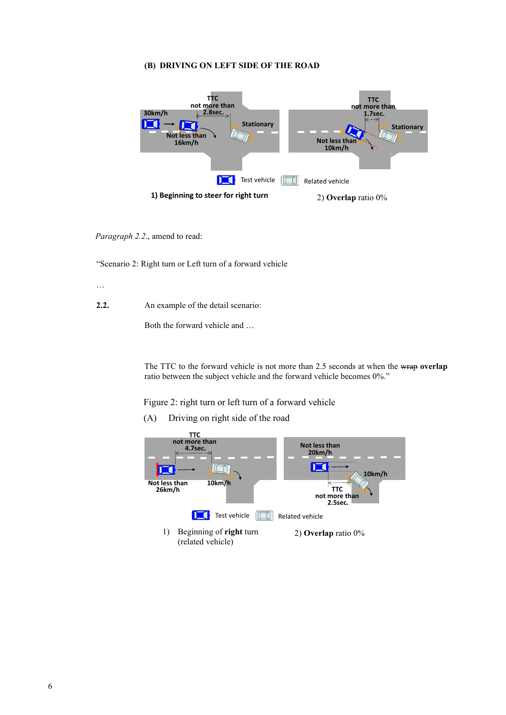#### **(B) DRIVING ON LEFT SIDE OF THE ROAD**



*Paragraph 2.2*., amend to read:

"Scenario 2: Right turn or Left turn of a forward vehicle

…

**2.2.** An example of the detail scenario:

Both the forward vehicle and …

The TTC to the forward vehicle is not more than 2.5 seconds at when the wrap **overlap** ratio between the subject vehicle and the forward vehicle becomes 0%."

Figure 2: right turn or left turn of a forward vehicle

(A) Driving on right side of the road

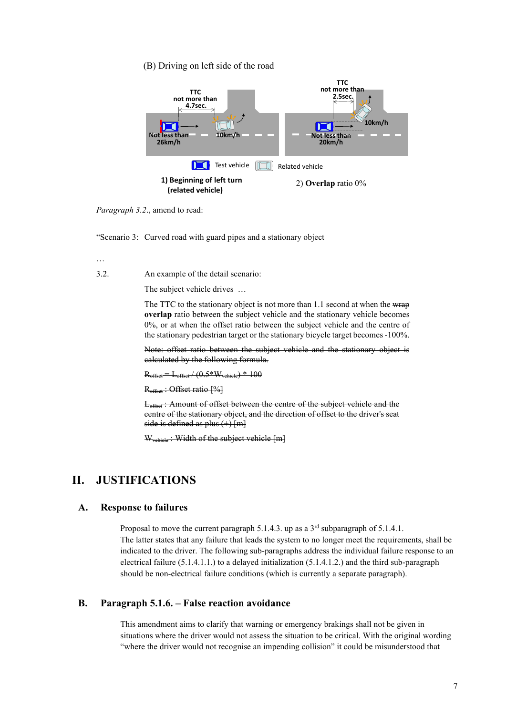#### (B) Driving on left side of the road



*Paragraph 3.2*., amend to read:

"Scenario 3: Curved road with guard pipes and a stationary object

…

3.2. An example of the detail scenario:

The subject vehicle drives …

The TTC to the stationary object is not more than 1.1 second at when the wrap **overlap** ratio between the subject vehicle and the stationary vehicle becomes 0%, or at when the offset ratio between the subject vehicle and the centre of the stationary pedestrian target or the stationary bicycle target becomes -100%.

Note: offset ratio between the subject vehicle and the stationary object is calculated by the following formula.

 $R = L_{\text{offset}} / (0.5*W_{\text{vehicle}}) * 100$ 

R<sub>offset</sub>: Offset ratio [%]

L<sub>offset</sub>: Amount of offset between the centre of the subject vehicle and the centre of the stationary object, and the direction of offset to the driver's seat side is defined as plus  $(+)$  [m]

W<sub>vehicle</sub>: Width of the subject vehicle [m]

# **II. JUSTIFICATIONS**

#### **A. Response to failures**

Proposal to move the current paragraph 5.1.4.3. up as a 3<sup>rd</sup> subparagraph of 5.1.4.1. The latter states that any failure that leads the system to no longer meet the requirements, shall be indicated to the driver. The following sub-paragraphs address the individual failure response to an electrical failure (5.1.4.1.1.) to a delayed initialization (5.1.4.1.2.) and the third sub-paragraph should be non-electrical failure conditions (which is currently a separate paragraph).

#### **B. Paragraph 5.1.6. – False reaction avoidance**

This amendment aims to clarify that warning or emergency brakings shall not be given in situations where the driver would not assess the situation to be critical. With the original wording "where the driver would not recognise an impending collision" it could be misunderstood that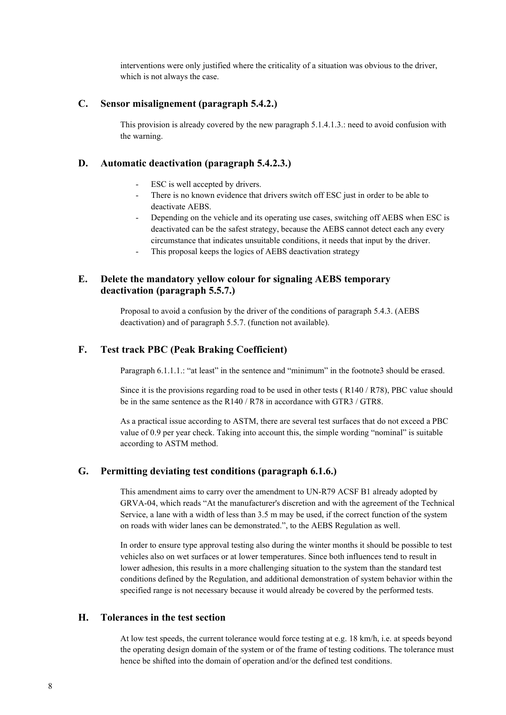interventions were only justified where the criticality of a situation was obvious to the driver, which is not always the case.

### **C. Sensor misalignement (paragraph 5.4.2.)**

This provision is already covered by the new paragraph 5.1.4.1.3.: need to avoid confusion with the warning.

#### **D. Automatic deactivation (paragraph 5.4.2.3.)**

- ESC is well accepted by drivers.
- There is no known evidence that drivers switch off ESC just in order to be able to deactivate AEBS.
- Depending on the vehicle and its operating use cases, switching off AEBS when ESC is deactivated can be the safest strategy, because the AEBS cannot detect each any every circumstance that indicates unsuitable conditions, it needs that input by the driver.
- This proposal keeps the logics of AEBS deactivation strategy

## **E. Delete the mandatory yellow colour for signaling AEBS temporary deactivation (paragraph 5.5.7.)**

Proposal to avoid a confusion by the driver of the conditions of paragraph 5.4.3. (AEBS deactivation) and of paragraph 5.5.7. (function not available).

## **F. Test track PBC (Peak Braking Coefficient)**

Paragraph 6.1.1.1.: "at least" in the sentence and "minimum" in the footnote3 should be erased.

Since it is the provisions regarding road to be used in other tests ( R140 / R78), PBC value should be in the same sentence as the R140 / R78 in accordance with GTR3 / GTR8.

As a practical issue according to ASTM, there are several test surfaces that do not exceed a PBC value of 0.9 per year check. Taking into account this, the simple wording "nominal" is suitable according to ASTM method.

### **G. Permitting deviating test conditions (paragraph 6.1.6.)**

This amendment aims to carry over the amendment to UN-R79 ACSF B1 already adopted by GRVA-04, which reads "At the manufacturer's discretion and with the agreement of the Technical Service, a lane with a width of less than 3.5 m may be used, if the correct function of the system on roads with wider lanes can be demonstrated.", to the AEBS Regulation as well.

In order to ensure type approval testing also during the winter months it should be possible to test vehicles also on wet surfaces or at lower temperatures. Since both influences tend to result in lower adhesion, this results in a more challenging situation to the system than the standard test conditions defined by the Regulation, and additional demonstration of system behavior within the specified range is not necessary because it would already be covered by the performed tests.

## **H. Tolerances in the test section**

At low test speeds, the current tolerance would force testing at e.g. 18 km/h, i.e. at speeds beyond the operating design domain of the system or of the frame of testing coditions. The tolerance must hence be shifted into the domain of operation and/or the defined test conditions.